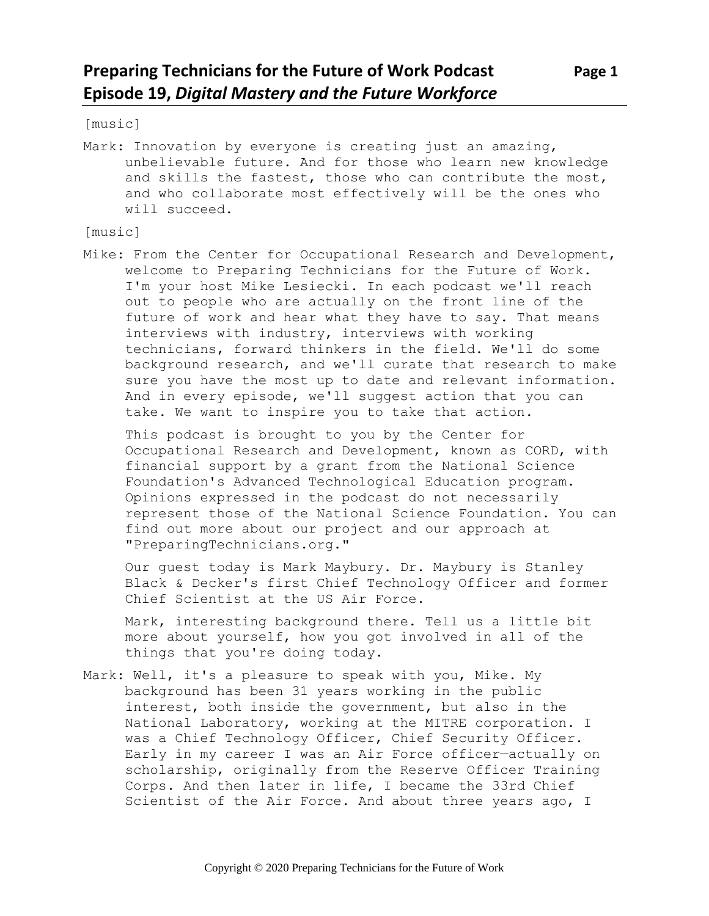[music]

Mark: Innovation by everyone is creating just an amazing, unbelievable future. And for those who learn new knowledge and skills the fastest, those who can contribute the most, and who collaborate most effectively will be the ones who will succeed.

[music]

Mike: From the Center for Occupational Research and Development, welcome to Preparing Technicians for the Future of Work. I'm your host Mike Lesiecki. In each podcast we'll reach out to people who are actually on the front line of the future of work and hear what they have to say. That means interviews with industry, interviews with working technicians, forward thinkers in the field. We'll do some background research, and we'll curate that research to make sure you have the most up to date and relevant information. And in every episode, we'll suggest action that you can take. We want to inspire you to take that action.

This podcast is brought to you by the Center for Occupational Research and Development, known as CORD, with financial support by a grant from the National Science Foundation's Advanced Technological Education program. Opinions expressed in the podcast do not necessarily represent those of the National Science Foundation. You can find out more about our project and our approach at "PreparingTechnicians.org."

Our guest today is Mark Maybury. Dr. Maybury is Stanley Black & Decker's first Chief Technology Officer and former Chief Scientist at the US Air Force.

Mark, interesting background there. Tell us a little bit more about yourself, how you got involved in all of the things that you're doing today.

Mark: Well, it's a pleasure to speak with you, Mike. My background has been 31 years working in the public interest, both inside the government, but also in the National Laboratory, working at the MITRE corporation. I was a Chief Technology Officer, Chief Security Officer. Early in my career I was an Air Force officer—actually on scholarship, originally from the Reserve Officer Training Corps. And then later in life, I became the 33rd Chief Scientist of the Air Force. And about three years ago, I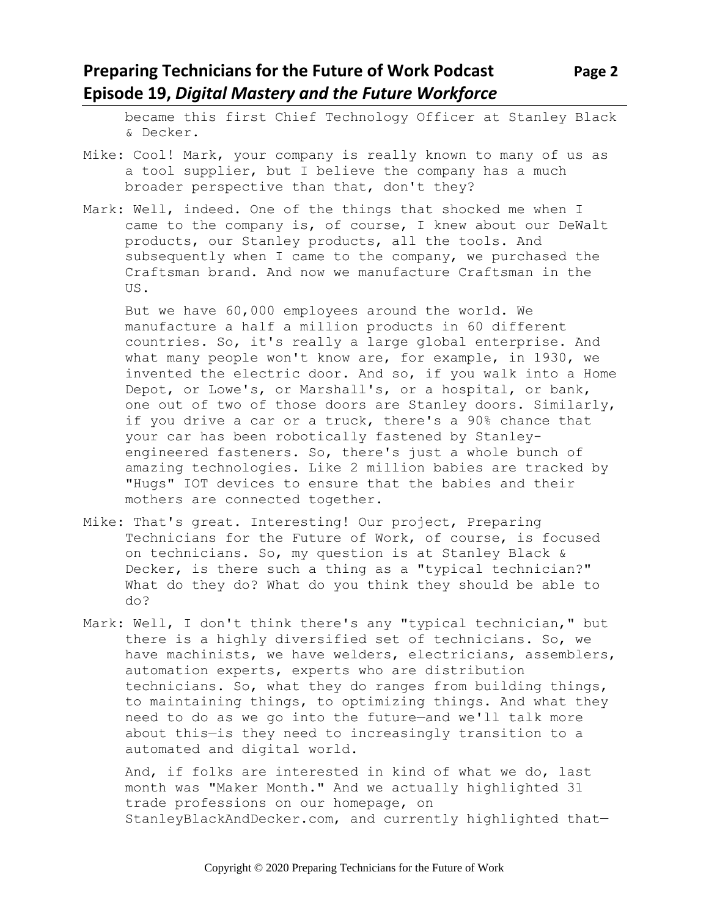## **Preparing Technicians for the Future of Work Podcast Page 2 Episode 19,** *Digital Mastery and the Future Workforce*

became this first Chief Technology Officer at Stanley Black & Decker.

- Mike: Cool! Mark, your company is really known to many of us as a tool supplier, but I believe the company has a much broader perspective than that, don't they?
- Mark: Well, indeed. One of the things that shocked me when I came to the company is, of course, I knew about our DeWalt products, our Stanley products, all the tools. And subsequently when I came to the company, we purchased the Craftsman brand. And now we manufacture Craftsman in the US.

But we have 60,000 employees around the world. We manufacture a half a million products in 60 different countries. So, it's really a large global enterprise. And what many people won't know are, for example, in 1930, we invented the electric door. And so, if you walk into a Home Depot, or Lowe's, or Marshall's, or a hospital, or bank, one out of two of those doors are Stanley doors. Similarly, if you drive a car or a truck, there's a 90% chance that your car has been robotically fastened by Stanleyengineered fasteners. So, there's just a whole bunch of amazing technologies. Like 2 million babies are tracked by "Hugs" IOT devices to ensure that the babies and their mothers are connected together.

- Mike: That's great. Interesting! Our project, Preparing Technicians for the Future of Work, of course, is focused on technicians. So, my question is at Stanley Black & Decker, is there such a thing as a "typical technician?" What do they do? What do you think they should be able to do?
- Mark: Well, I don't think there's any "typical technician," but there is a highly diversified set of technicians. So, we have machinists, we have welders, electricians, assemblers, automation experts, experts who are distribution technicians. So, what they do ranges from building things, to maintaining things, to optimizing things. And what they need to do as we go into the future—and we'll talk more about this—is they need to increasingly transition to a automated and digital world.

And, if folks are interested in kind of what we do, last month was "Maker Month." And we actually highlighted 31 trade professions on our homepage, on StanleyBlackAndDecker.com, and currently highlighted that—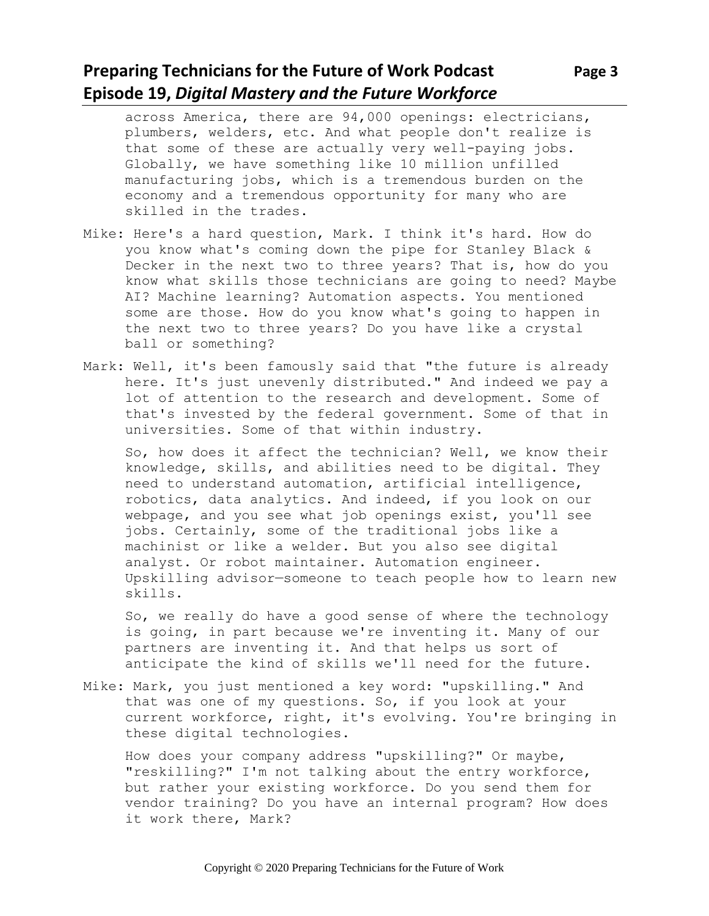# **Preparing Technicians for the Future of Work Podcast** Page 3 **Episode 19,** *Digital Mastery and the Future Workforce*

across America, there are 94,000 openings: electricians, plumbers, welders, etc. And what people don't realize is that some of these are actually very well-paying jobs. Globally, we have something like 10 million unfilled manufacturing jobs, which is a tremendous burden on the economy and a tremendous opportunity for many who are skilled in the trades.

- Mike: Here's a hard question, Mark. I think it's hard. How do you know what's coming down the pipe for Stanley Black & Decker in the next two to three years? That is, how do you know what skills those technicians are going to need? Maybe AI? Machine learning? Automation aspects. You mentioned some are those. How do you know what's going to happen in the next two to three years? Do you have like a crystal ball or something?
- Mark: Well, it's been famously said that "the future is already here. It's just unevenly distributed." And indeed we pay a lot of attention to the research and development. Some of that's invested by the federal government. Some of that in universities. Some of that within industry.

So, how does it affect the technician? Well, we know their knowledge, skills, and abilities need to be digital. They need to understand automation, artificial intelligence, robotics, data analytics. And indeed, if you look on our webpage, and you see what job openings exist, you'll see jobs. Certainly, some of the traditional jobs like a machinist or like a welder. But you also see digital analyst. Or robot maintainer. Automation engineer. Upskilling advisor—someone to teach people how to learn new skills.

So, we really do have a good sense of where the technology is going, in part because we're inventing it. Many of our partners are inventing it. And that helps us sort of anticipate the kind of skills we'll need for the future.

Mike: Mark, you just mentioned a key word: "upskilling." And that was one of my questions. So, if you look at your current workforce, right, it's evolving. You're bringing in these digital technologies.

How does your company address "upskilling?" Or maybe, "reskilling?" I'm not talking about the entry workforce, but rather your existing workforce. Do you send them for vendor training? Do you have an internal program? How does it work there, Mark?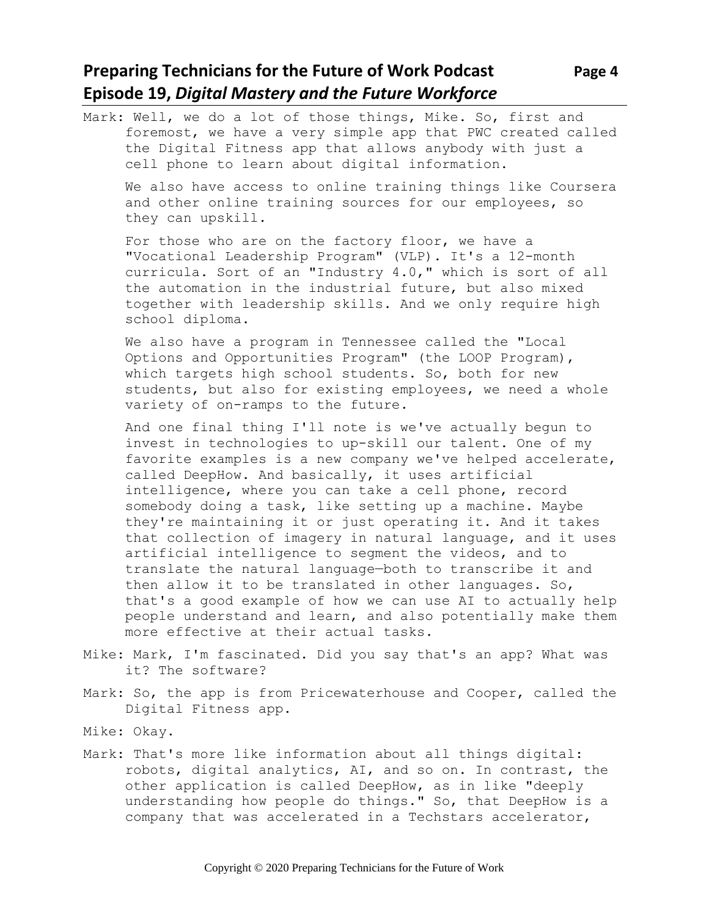## **Preparing Technicians for the Future of Work Podcast Page 4 Episode 19,** *Digital Mastery and the Future Workforce*

Mark: Well, we do a lot of those things, Mike. So, first and foremost, we have a very simple app that PWC created called the Digital Fitness app that allows anybody with just a cell phone to learn about digital information. We also have access to online training things like Coursera and other online training sources for our employees, so they can upskill. For those who are on the factory floor, we have a "Vocational Leadership Program" (VLP). It's a 12-month curricula. Sort of an "Industry 4.0," which is sort of all the automation in the industrial future, but also mixed together with leadership skills. And we only require high school diploma. We also have a program in Tennessee called the "Local Options and Opportunities Program" (the LOOP Program), which targets high school students. So, both for new students, but also for existing employees, we need a whole variety of on-ramps to the future. And one final thing I'll note is we've actually begun to invest in technologies to up-skill our talent. One of my favorite examples is a new company we've helped accelerate, called DeepHow. And basically, it uses artificial intelligence, where you can take a cell phone, record somebody doing a task, like setting up a machine. Maybe they're maintaining it or just operating it. And it takes that collection of imagery in natural language, and it uses artificial intelligence to segment the videos, and to translate the natural language—both to transcribe it and then allow it to be translated in other languages. So, that's a good example of how we can use AI to actually help people understand and learn, and also potentially make them more effective at their actual tasks.

- Mike: Mark, I'm fascinated. Did you say that's an app? What was it? The software?
- Mark: So, the app is from Pricewaterhouse and Cooper, called the Digital Fitness app.
- Mike: Okay.
- Mark: That's more like information about all things digital: robots, digital analytics, AI, and so on. In contrast, the other application is called DeepHow, as in like "deeply understanding how people do things." So, that DeepHow is a company that was accelerated in a Techstars accelerator,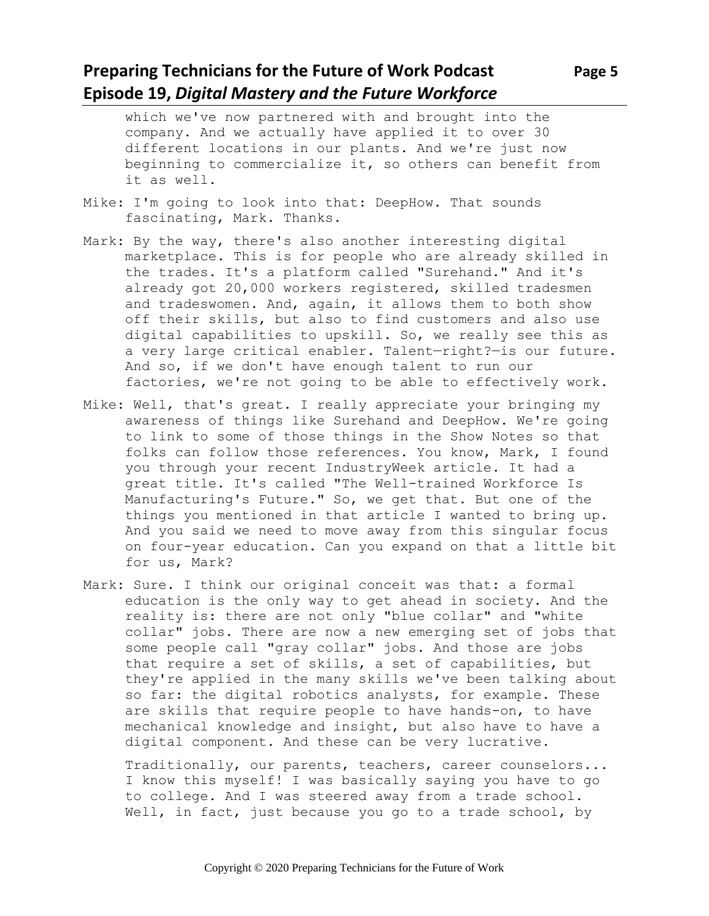## **Preparing Technicians for the Future of Work Podcast Page 5 Episode 19,** *Digital Mastery and the Future Workforce*

which we've now partnered with and brought into the company. And we actually have applied it to over 30 different locations in our plants. And we're just now beginning to commercialize it, so others can benefit from it as well.

- Mike: I'm going to look into that: DeepHow. That sounds fascinating, Mark. Thanks.
- Mark: By the way, there's also another interesting digital marketplace. This is for people who are already skilled in the trades. It's a platform called "Surehand." And it's already got 20,000 workers registered, skilled tradesmen and tradeswomen. And, again, it allows them to both show off their skills, but also to find customers and also use digital capabilities to upskill. So, we really see this as a very large critical enabler. Talent—right?—is our future. And so, if we don't have enough talent to run our factories, we're not going to be able to effectively work.
- Mike: Well, that's great. I really appreciate your bringing my awareness of things like Surehand and DeepHow. We're going to link to some of those things in the Show Notes so that folks can follow those references. You know, Mark, I found you through your recent IndustryWeek article. It had a great title. It's called "The Well-trained Workforce Is Manufacturing's Future." So, we get that. But one of the things you mentioned in that article I wanted to bring up. And you said we need to move away from this singular focus on four-year education. Can you expand on that a little bit for us, Mark?
- Mark: Sure. I think our original conceit was that: a formal education is the only way to get ahead in society. And the reality is: there are not only "blue collar" and "white collar" jobs. There are now a new emerging set of jobs that some people call "gray collar" jobs. And those are jobs that require a set of skills, a set of capabilities, but they're applied in the many skills we've been talking about so far: the digital robotics analysts, for example. These are skills that require people to have hands-on, to have mechanical knowledge and insight, but also have to have a digital component. And these can be very lucrative.

Traditionally, our parents, teachers, career counselors... I know this myself! I was basically saying you have to go to college. And I was steered away from a trade school. Well, in fact, just because you go to a trade school, by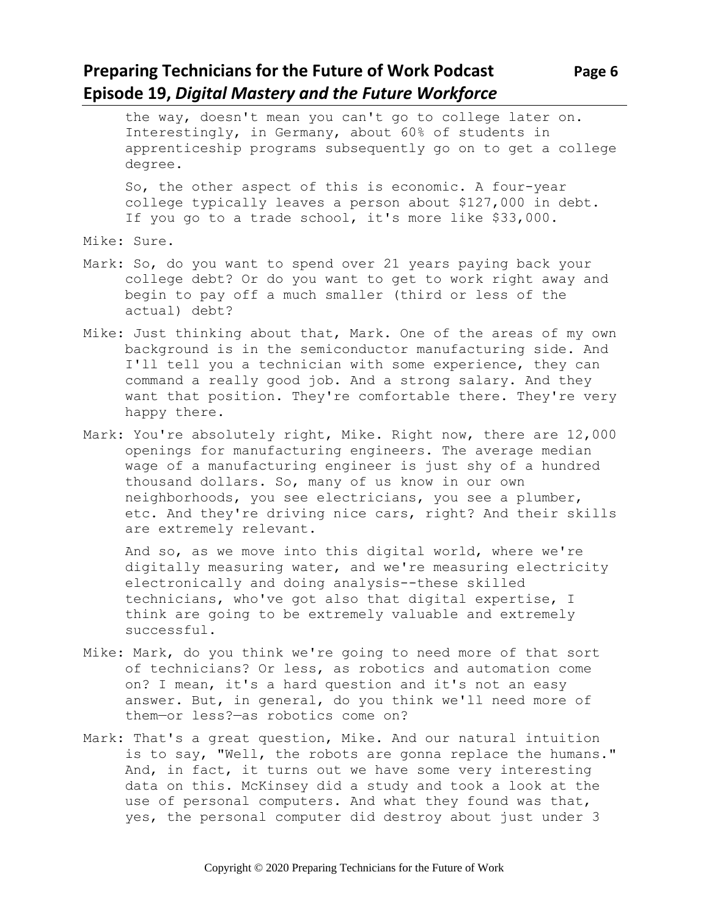## **Preparing Technicians for the Future of Work Podcast** Page 6 **Episode 19,** *Digital Mastery and the Future Workforce*

the way, doesn't mean you can't go to college later on. Interestingly, in Germany, about 60% of students in apprenticeship programs subsequently go on to get a college degree.

So, the other aspect of this is economic. A four-year college typically leaves a person about \$127,000 in debt. If you go to a trade school, it's more like \$33,000.

Mike: Sure.

- Mark: So, do you want to spend over 21 years paying back your college debt? Or do you want to get to work right away and begin to pay off a much smaller (third or less of the actual) debt?
- Mike: Just thinking about that, Mark. One of the areas of my own background is in the semiconductor manufacturing side. And I'll tell you a technician with some experience, they can command a really good job. And a strong salary. And they want that position. They're comfortable there. They're very happy there.
- Mark: You're absolutely right, Mike. Right now, there are 12,000 openings for manufacturing engineers. The average median wage of a manufacturing engineer is just shy of a hundred thousand dollars. So, many of us know in our own neighborhoods, you see electricians, you see a plumber, etc. And they're driving nice cars, right? And their skills are extremely relevant.

And so, as we move into this digital world, where we're digitally measuring water, and we're measuring electricity electronically and doing analysis--these skilled technicians, who've got also that digital expertise, I think are going to be extremely valuable and extremely successful.

- Mike: Mark, do you think we're going to need more of that sort of technicians? Or less, as robotics and automation come on? I mean, it's a hard question and it's not an easy answer. But, in general, do you think we'll need more of them—or less?—as robotics come on?
- Mark: That's a great question, Mike. And our natural intuition is to say, "Well, the robots are gonna replace the humans." And, in fact, it turns out we have some very interesting data on this. McKinsey did a study and took a look at the use of personal computers. And what they found was that, yes, the personal computer did destroy about just under 3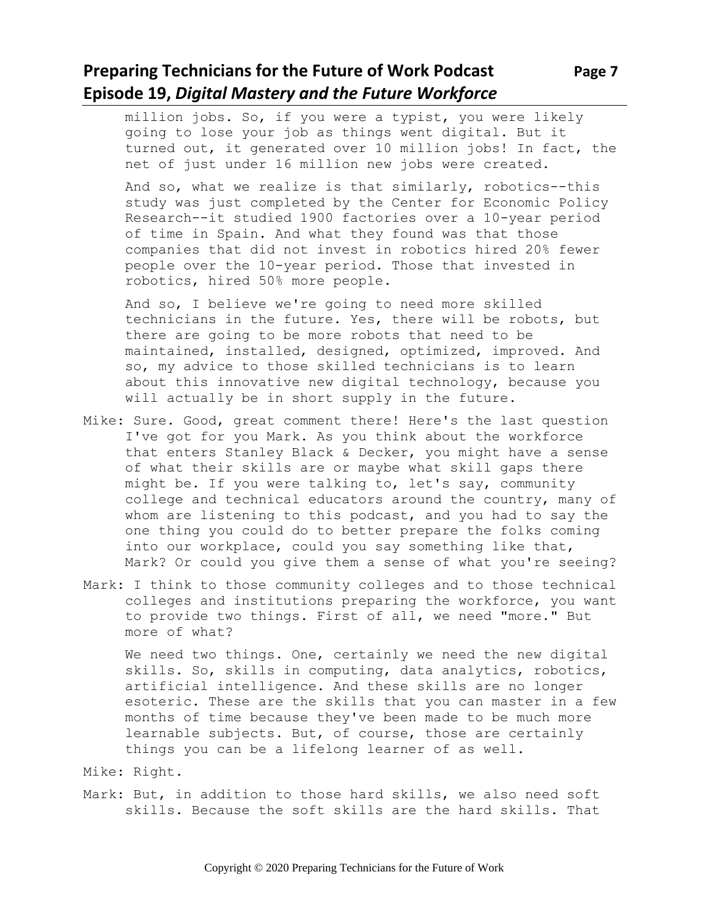# **Preparing Technicians for the Future of Work Podcast** Page 7 **Episode 19,** *Digital Mastery and the Future Workforce*

million jobs. So, if you were a typist, you were likely going to lose your job as things went digital. But it turned out, it generated over 10 million jobs! In fact, the net of just under 16 million new jobs were created.

And so, what we realize is that similarly, robotics--this study was just completed by the Center for Economic Policy Research--it studied 1900 factories over a 10-year period of time in Spain. And what they found was that those companies that did not invest in robotics hired 20% fewer people over the 10-year period. Those that invested in robotics, hired 50% more people.

And so, I believe we're going to need more skilled technicians in the future. Yes, there will be robots, but there are going to be more robots that need to be maintained, installed, designed, optimized, improved. And so, my advice to those skilled technicians is to learn about this innovative new digital technology, because you will actually be in short supply in the future.

- Mike: Sure. Good, great comment there! Here's the last question I've got for you Mark. As you think about the workforce that enters Stanley Black & Decker, you might have a sense of what their skills are or maybe what skill gaps there might be. If you were talking to, let's say, community college and technical educators around the country, many of whom are listening to this podcast, and you had to say the one thing you could do to better prepare the folks coming into our workplace, could you say something like that, Mark? Or could you give them a sense of what you're seeing?
- Mark: I think to those community colleges and to those technical colleges and institutions preparing the workforce, you want to provide two things. First of all, we need "more." But more of what?

We need two things. One, certainly we need the new digital skills. So, skills in computing, data analytics, robotics, artificial intelligence. And these skills are no longer esoteric. These are the skills that you can master in a few months of time because they've been made to be much more learnable subjects. But, of course, those are certainly things you can be a lifelong learner of as well.

- Mike: Right.
- Mark: But, in addition to those hard skills, we also need soft skills. Because the soft skills are the hard skills. That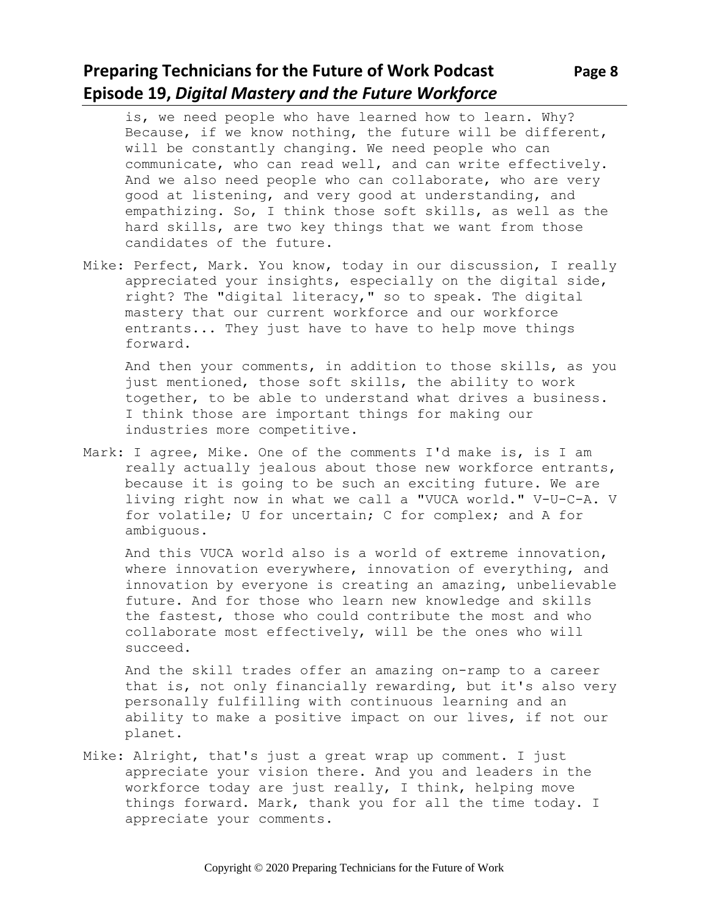# **Preparing Technicians for the Future of Work Podcast** Page 8 **Episode 19,** *Digital Mastery and the Future Workforce*

- is, we need people who have learned how to learn. Why? Because, if we know nothing, the future will be different, will be constantly changing. We need people who can communicate, who can read well, and can write effectively. And we also need people who can collaborate, who are very good at listening, and very good at understanding, and empathizing. So, I think those soft skills, as well as the hard skills, are two key things that we want from those candidates of the future.
- Mike: Perfect, Mark. You know, today in our discussion, I really appreciated your insights, especially on the digital side, right? The "digital literacy," so to speak. The digital mastery that our current workforce and our workforce entrants... They just have to have to help move things forward.

And then your comments, in addition to those skills, as you just mentioned, those soft skills, the ability to work together, to be able to understand what drives a business. I think those are important things for making our industries more competitive.

Mark: I agree, Mike. One of the comments I'd make is, is I am really actually jealous about those new workforce entrants, because it is going to be such an exciting future. We are living right now in what we call a "VUCA world." V-U-C-A. V for volatile; U for uncertain; C for complex; and A for ambiguous.

And this VUCA world also is a world of extreme innovation, where innovation everywhere, innovation of everything, and innovation by everyone is creating an amazing, unbelievable future. And for those who learn new knowledge and skills the fastest, those who could contribute the most and who collaborate most effectively, will be the ones who will succeed.

And the skill trades offer an amazing on-ramp to a career that is, not only financially rewarding, but it's also very personally fulfilling with continuous learning and an ability to make a positive impact on our lives, if not our planet.

Mike: Alright, that's just a great wrap up comment. I just appreciate your vision there. And you and leaders in the workforce today are just really, I think, helping move things forward. Mark, thank you for all the time today. I appreciate your comments.